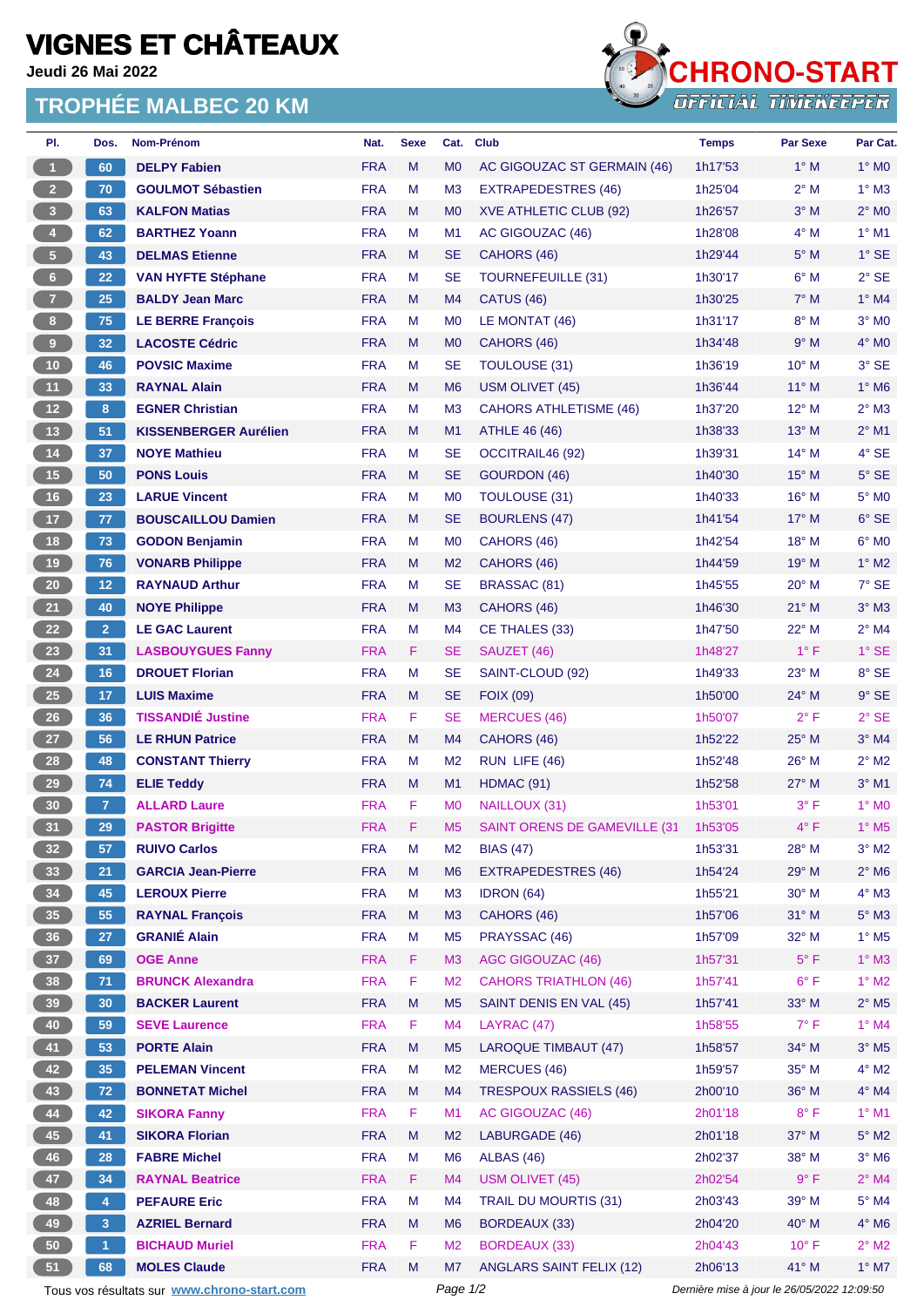## **VIGNES ET CHÂTEAUX**

**Jeudi 26 Mai 2022**

## **TROPHÉE MALBEC 20 KM**



| PI.                     | Dos.           | Nom-Prénom                                  | Nat.       | <b>Sexe</b> | Cat.           | <b>Club</b>                     | <b>Temps</b>                                | <b>Par Sexe</b> | Par Cat.                   |
|-------------------------|----------------|---------------------------------------------|------------|-------------|----------------|---------------------------------|---------------------------------------------|-----------------|----------------------------|
| $\mathbf{1}$            | 60             | <b>DELPY Fabien</b>                         | <b>FRA</b> | M           | M <sub>0</sub> | AC GIGOUZAC ST GERMAIN (46)     | 1h17'53                                     | $1^\circ$ M     | $1^\circ$ MO               |
| 2 <sup>7</sup>          | 70             | <b>GOULMOT Sébastien</b>                    | <b>FRA</b> | M           | M <sub>3</sub> | EXTRAPEDESTRES (46)             | 1h25'04                                     | $2^{\circ}$ M   | $1^\circ$ M3               |
| $\overline{\mathbf{3}}$ | 63             | <b>KALFON Matias</b>                        | <b>FRA</b> | M           | M <sub>0</sub> | XVE ATHLETIC CLUB (92)          | 1h26'57                                     | $3^\circ$ M     | $2^{\circ}$ MO             |
| $\overline{4}$          | 62             | <b>BARTHEZ Yoann</b>                        | <b>FRA</b> | М           | M1             | AC GIGOUZAC (46)                | 1h28'08                                     | $4^\circ$ M     | $1^\circ$ M1               |
| $\sqrt{5}$              | 43             | <b>DELMAS Etienne</b>                       | <b>FRA</b> | M           | SE             | CAHORS (46)                     | 1h29'44                                     | $5^\circ$ M     | $1^\circ$ SE               |
| $6\phantom{.}6$         | 22             | <b>VAN HYFTE Stéphane</b>                   | <b>FRA</b> | M           | <b>SE</b>      | <b>TOURNEFEUILLE (31)</b>       | 1h30'17                                     | $6^\circ$ M     | $2°$ SE                    |
| $\overline{7}$          | 25             | <b>BALDY Jean Marc</b>                      | <b>FRA</b> | M           | M <sub>4</sub> | <b>CATUS (46)</b>               | 1h30'25                                     | $7^\circ$ M     | $1^\circ$ M4               |
| 8 <sub>1</sub>          | 75             | <b>LE BERRE François</b>                    | <b>FRA</b> | М           | M <sub>0</sub> | LE MONTAT (46)                  | 1h31'17                                     | $8^\circ$ M     | $3°$ MO                    |
| $\overline{9}$          | 32             | <b>LACOSTE Cédric</b>                       | <b>FRA</b> | M           | M <sub>0</sub> | CAHORS (46)                     | 1h34'48                                     | 9° M            | $4^\circ$ MO               |
| 10                      | 46             | <b>POVSIC Maxime</b>                        | <b>FRA</b> | м           | SE             | <b>TOULOUSE (31)</b>            | 1h36'19                                     | 10° M           | $3^\circ$ SE               |
| 11                      | 33             | <b>RAYNAL Alain</b>                         | <b>FRA</b> | M           | M <sub>6</sub> | USM OLIVET (45)                 | 1h36'44                                     | $11^{\circ}$ M  | $1^\circ$ M6               |
| 12 <sup>°</sup>         | 8 <sub>1</sub> | <b>EGNER Christian</b>                      | <b>FRA</b> | М           | M <sub>3</sub> | <b>CAHORS ATHLETISME (46)</b>   | 1h37'20                                     | $12^{\circ}$ M  | $2^{\circ}$ M3             |
| 13                      | 51             | <b>KISSENBERGER Aurélien</b>                | <b>FRA</b> | M           | M1             | ATHLE 46 (46)                   | 1h38'33                                     | 13° M           | $2^{\circ}$ M1             |
| $14$                    | 37             | <b>NOYE Mathieu</b>                         | <b>FRA</b> | М           | <b>SE</b>      | OCCITRAIL46 (92)                | 1h39'31                                     | $14^{\circ}$ M  | $4^{\circ}$ SE             |
| 15                      | 50             | <b>PONS Louis</b>                           | <b>FRA</b> | M           | SE             | <b>GOURDON (46)</b>             | 1h40'30                                     | $15^{\circ}$ M  | $5^\circ$ SE               |
| 16                      | 23             | <b>LARUE Vincent</b>                        | <b>FRA</b> | M           | M <sub>0</sub> | <b>TOULOUSE (31)</b>            | 1h40'33                                     | $16^{\circ}$ M  | 5° MO                      |
| 17                      | 77             | <b>BOUSCAILLOU Damien</b>                   | <b>FRA</b> | M           | <b>SE</b>      | <b>BOURLENS (47)</b>            | 1h41'54                                     | $17°$ M         | $6°$ SE                    |
| 18                      | 73             | <b>GODON Benjamin</b>                       | <b>FRA</b> | М           | M <sub>0</sub> | CAHORS (46)                     | 1h42'54                                     | 18° M           | 6° MO                      |
| 19                      | 76             | <b>VONARB Philippe</b>                      | <b>FRA</b> | M           | M <sub>2</sub> | CAHORS (46)                     | 1h44'59                                     | 19° M           | $1^\circ$ M2               |
| 20 <sub>2</sub>         | 12             | <b>RAYNAUD Arthur</b>                       | <b>FRA</b> | M           | <b>SE</b>      | BRASSAC (81)                    | 1h45'55                                     | 20° M           | $7°$ SE                    |
| 21                      | 40             | <b>NOYE Philippe</b>                        | <b>FRA</b> | M           | M <sub>3</sub> | CAHORS (46)                     | 1h46'30                                     | $21^{\circ}$ M  | $3^\circ$ M3               |
|                         | 2 <sup>1</sup> | <b>LE GAC Laurent</b>                       | <b>FRA</b> | M           |                |                                 |                                             |                 |                            |
| 22                      |                |                                             |            |             | M <sub>4</sub> | CE THALES (33)                  | 1h47'50                                     | 22° M           | $2^{\circ}$ M4             |
| 23                      | 31             | <b>LASBOUYGUES Fanny</b>                    | <b>FRA</b> | F           | SE             | SAUZET (46)                     | 1h48'27                                     | $1^{\circ}$ F   | $1°$ SE                    |
| 24                      | 16             | <b>DROUET Florian</b>                       | <b>FRA</b> | M           | <b>SE</b>      | SAINT-CLOUD (92)                | 1h49'33                                     | 23° M           | 8° SE                      |
| 25                      | 17             | <b>LUIS Maxime</b>                          | <b>FRA</b> | M           | <b>SE</b>      | <b>FOIX (09)</b>                | 1h50'00                                     | $24^{\circ}$ M  | $9°$ SE                    |
| $26\phantom{.}$         | 36             | <b>TISSANDIÉ Justine</b>                    | <b>FRA</b> | F           | SE             | <b>MERCUES (46)</b>             | 1h50'07                                     | $2^{\circ}$ F   | $2°$ SE                    |
| 27                      | 56             | <b>LE RHUN Patrice</b>                      | <b>FRA</b> | M           | M <sub>4</sub> | CAHORS (46)                     | 1h52'22                                     | $25^{\circ}$ M  | $3°$ M4                    |
| 28                      | 48             | <b>CONSTANT Thierry</b>                     | <b>FRA</b> | м           | M <sub>2</sub> | RUN LIFE (46)                   | 1h52'48                                     | 26° M           | $2^{\circ}$ M2             |
| 29                      | 74             | <b>ELIE Teddy</b>                           | <b>FRA</b> | M           | M1             | HDMAC (91)                      | 1h52'58                                     | $27^\circ$ M    | $3°$ M1                    |
| 30 <sub>o</sub>         | $\overline{7}$ | <b>ALLARD Laure</b>                         | <b>FRA</b> | F           | M <sub>0</sub> | NAILLOUX (31)                   | 1h53'01                                     | 3° F            | 1° M <sub>0</sub>          |
| 31                      | 29             | <b>PASTOR Brigitte</b>                      | <b>FRA</b> | F           | M <sub>5</sub> | SAINT ORENS DE GAMEVILLE (31    | 1h53'05                                     | $4^{\circ}$ F   | $1^\circ$ M <sub>5</sub>   |
| 32 <sub>2</sub>         | 57             | <b>RUIVO Carlos</b>                         | <b>FRA</b> | М           | M <sub>2</sub> | <b>BIAS (47)</b>                | 1h53'31                                     | $28^{\circ}$ M  | $3^\circ$ M2               |
| 33                      | 21             | <b>GARCIA Jean-Pierre</b>                   | <b>FRA</b> | M           | M <sub>6</sub> | <b>EXTRAPEDESTRES (46)</b>      | 1h54'24                                     | 29° M           | $2^{\circ}$ M6             |
| 34                      | 45             | <b>LEROUX Pierre</b>                        | <b>FRA</b> | M           | M <sub>3</sub> | IDRON (64)                      | 1h55'21                                     | $30^\circ$ M    | $4^\circ$ M3               |
| 35 <sub>1</sub>         | 55             | <b>RAYNAL François</b>                      | <b>FRA</b> | M           | M <sub>3</sub> | CAHORS (46)                     | 1h57'06                                     | 31° M           | $5^\circ$ M3               |
| 36                      | 27             | <b>GRANIÉ Alain</b>                         | <b>FRA</b> | M           | M <sub>5</sub> | PRAYSSAC (46)                   | 1h57'09                                     | $32^{\circ}$ M  | $1^\circ$ M <sub>5</sub>   |
| 37 <sup>°</sup>         | 69             | <b>OGE Anne</b>                             | <b>FRA</b> | F.          | M <sub>3</sub> | AGC GIGOUZAC (46)               | 1h57'31                                     | $5^{\circ}$ F   | $1^\circ$ M3               |
| 38                      | 71             | <b>BRUNCK Alexandra</b>                     | <b>FRA</b> | F           | M <sub>2</sub> | <b>CAHORS TRIATHLON (46)</b>    | 1h57'41                                     | $6^{\circ}$ F   | $1^\circ$ M2               |
| 39                      | 30             | <b>BACKER Laurent</b>                       | <b>FRA</b> | M           | M <sub>5</sub> | SAINT DENIS EN VAL (45)         | 1h57'41                                     | 33° M           | $2^{\circ}$ M <sub>5</sub> |
| 40                      | 59             | <b>SEVE Laurence</b>                        | <b>FRA</b> | F           | M <sub>4</sub> | LAYRAC (47)                     | 1h58'55                                     | $7^\circ$ F     | $1^\circ$ M4               |
| 41                      | 53             | <b>PORTE Alain</b>                          | <b>FRA</b> | M           | M <sub>5</sub> | <b>LAROQUE TIMBAUT (47)</b>     | 1h58'57                                     | 34° M           | $3^\circ$ M5               |
| 42                      | 35             | <b>PELEMAN Vincent</b>                      | <b>FRA</b> | М           | M <sub>2</sub> | <b>MERCUES (46)</b>             | 1h59'57                                     | 35° M           | $4^\circ$ M2               |
| 43                      | $72$           | <b>BONNETAT Michel</b>                      | <b>FRA</b> | M           | M4             | <b>TRESPOUX RASSIELS (46)</b>   | 2h00'10                                     | 36° M           | $4^\circ$ M4               |
| 44                      | 42             | <b>SIKORA Fanny</b>                         | <b>FRA</b> | F           | M1             | AC GIGOUZAC (46)                | 2h01'18                                     | $8^{\circ}$ F   | $1^\circ$ M1               |
| 45                      | 41             | <b>SIKORA Florian</b>                       | <b>FRA</b> | M           | M <sub>2</sub> | LABURGADE (46)                  | 2h01'18                                     | 37° M           | $5^\circ$ M2               |
| 46                      | 28             | <b>FABRE Michel</b>                         | <b>FRA</b> | M           | M <sub>6</sub> | ALBAS (46)                      | 2h02'37                                     | $38^\circ$ M    | $3^\circ$ M6               |
| 47                      | 34             | <b>RAYNAL Beatrice</b>                      | <b>FRA</b> | F           | M4             | <b>USM OLIVET (45)</b>          | 2h02'54                                     | $9^{\circ}$ F   | $2^{\circ}$ M4             |
| 48                      | 4              | <b>PEFAURE Eric</b>                         | <b>FRA</b> | M           | M4             | <b>TRAIL DU MOURTIS (31)</b>    | 2h03'43                                     | 39° M           | $5^\circ$ M4               |
| 49                      | 3              | <b>AZRIEL Bernard</b>                       | <b>FRA</b> | M           | M <sub>6</sub> | <b>BORDEAUX (33)</b>            | 2h04'20                                     | 40° M           | $4^\circ$ M6               |
| 50                      | $\mathbf{1}$   | <b>BICHAUD Muriel</b>                       | <b>FRA</b> | F           | M <sub>2</sub> | <b>BORDEAUX (33)</b>            | 2h04'43                                     | $10^{\circ}$ F  | $2^{\circ}$ M2             |
| 51                      | 68             | <b>MOLES Claude</b>                         | <b>FRA</b> | M           | M7             | <b>ANGLARS SAINT FELIX (12)</b> | 2h06'13                                     | 41° M           | $1^\circ$ M7               |
|                         |                | Tous vos résultats sur www.chrono-start.com |            |             | Page 1/2       |                                 | Dernière mise à jour le 26/05/2022 12:09:50 |                 |                            |
|                         |                |                                             |            |             |                |                                 |                                             |                 |                            |